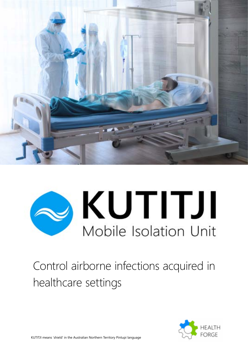

# **OKUTITJI** Mobile Isolation Unit

## Control airborne infections acquired in healthcare settings

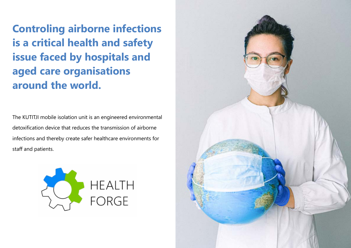**Controling airborne infections is a critical health and safety issue faced by hospitals and aged care organisations around the world.**

The KUTITJI mobile isolation unit is an engineered environmental detoxification device that reduces the transmission of airborne infections and thereby create safer healthcare environments for staff and patients.



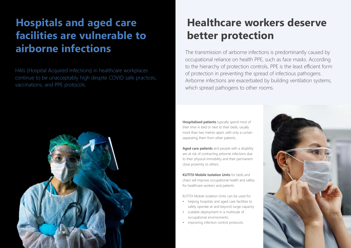HAIs (Hospital Acquired Infections) in healthcare workplaces continue to be unacceptably high despite COVID safe practices, vaccinations, and PPE protocols.



**Hospitalised patients** typically spend most of their time in bed or next to their beds, usually more than two metres apart, with only a curtain separating them from other patients.

**Aged care patients** and people with a disability are at risk of contracting airborne infections due to their physical immobility and their permanent close proximity to others.

**KUTITJI Mobile Isolation Units** for beds and chairs will improve occupational health and safety for healthcare workers and patients.

KUTITJI Mobile Isolation Units can be used for:

- helping hospitals and aged care facilities to safely operate at and beyond surge capacity.
- scalable deployment in a multitude of occupational envirnoments.
- improving infection control protocols.



# **Hospitals and aged care facilities are vulnerable to airborne infections**

# **Healthcare workers deserve better protection**

The transmission of airborne infections is predominantly caused by occupational reliance on health PPE, such as face masks. According to the hierarchy of protection controls, PPE is the least efficient form of protection in preventing the spread of infectious pathogens. Airborne infections are exacerbated by building ventilation systems, which spread pathogens to other rooms.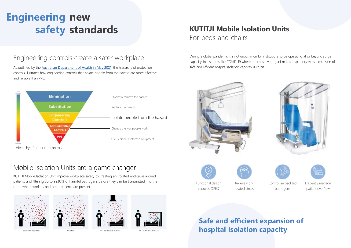**Safe and efficient expansion of hospital isolation capacity**

## **KUTITJI Mobile Isolation Units** For beds and chairs

Functional design

reduces OPEX

Relieve work related stress Control aerosolised pathogens



Efficiently manage patient overflow

As outlined by the **[Australian Department of Health in May 2021](https://www.dhhs.vic.gov.au/department-health-coronavirus-covid-19-policy-doc)**, the hierarchy of protection controls illustrates how engineering controls that isolate people from the hazard are more effective and reliable than PPE.

Engineering controls create a safer workplace



# **Engineering new safety standards**

## Mobile Isolation Units are a game changer

KUTITJI Mobile Isolation Unit improve workplace safety by creating an isolated enclosure around patients and filtering up to 99.95% of harmful pathogens before they can be transmitted into the room where workers and other patients are present.









NO INFECTION CONTROLS PPE ONLY PPE + BUILDING VENTILATION PPE + KUTITJI ISOLATION UNIT

During a global pandemic it is not uncommon for institutions to be operating at or beyond surge capacity. In instances like COVID-19 where the causative organism is a respiratory virus, expansion of





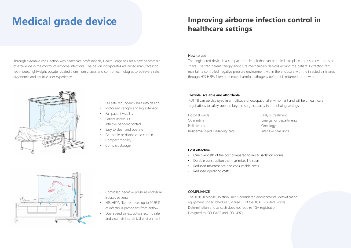## **Medical grade device Improving airborne infection control in healthcare settings**

- Fail safe redundancy built into design
- Motorised canopy and leg extension
- Full patient visibility
- Patient access slit
- Intuitive pendant control
- Easy to clean and operate
- Re-usable or dispoasable curtain
- Compact mobility
- Compact storage

Through extensive consultation with healthcare professionals, Health Forge has set a new benchmark of excellence in the control of airborne infections. The design incorporates advanced manufacturing techniques, lightweight powder coated aluminium chassis and control technologies to achieve a safe, ergonomic and intuitive user experience.



- Controlled negative pressure enclosure isolates patients
- H13 HEPA filter removes up to 99.95% of infectious pathogens from airflow
- Dual speed air extraction returns safe and clean air into clinical environment

### **COMPLIANCE**

The KUTITJI Mobile Isolation Unit is considered environmental detoxification equipment under schedule 1, clause 12 of the TGA Excluded Goods Determination and as such does not require TGA registration. Designed to ISO 13485 and ISO 14971

ialysis treatment nergency departments ncology tensive care units

| Hospital wards                     | Dia |
|------------------------------------|-----|
| Quarantine                         | Fη  |
| Palliative care                    | Or  |
| Residential aged / disability care | Int |

### **Cost effective**

- One twentieth of the cost compared to in-situ isolation rooms
- Durable construction that maximises life span
- Reduced maintenance and consumable costs
- Reduced operating costs



### **Flexible, scalable and affordable**

KUTITJI can be deployed in a multitude of occupational envirnoment and will help healthcare orgaisations to safely operate beyond surge capacity in the follwing settings:

### **How to use**

The engineered device is a compact mobile unit that can be rolled into place and used over beds or chairs. The transparent canopy enclosure mechanically deploys around the patient. Extraction fans maintain a controlled negative pressure environment within the enclosure with the infected air filtered through H13 HEPA filters to remove harmful pathogens before it is returned to the ward.